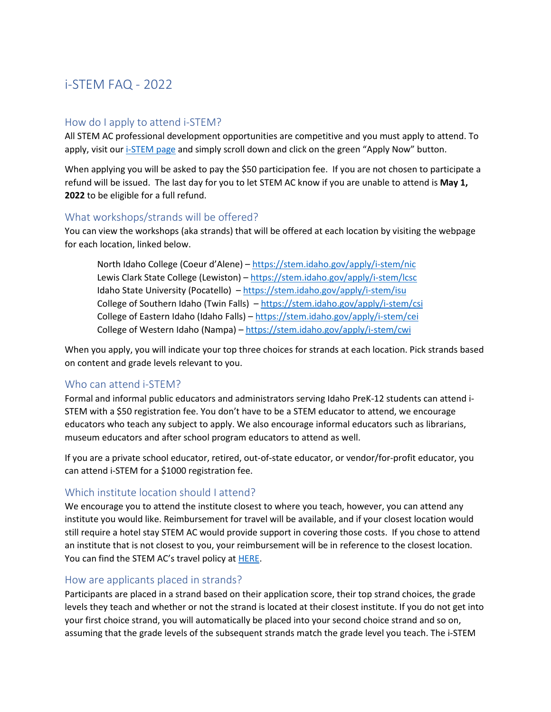# i-STEM FAQ - 2022

#### How do I apply to attend i-STEM?

All STEM AC professional development opportunities are competitive and you must apply to attend. To apply, visit our [i-STEM page](https://stem.idaho.gov/apply/i-stem/) and simply scroll down and click on the green "Apply Now" button.

When applying you will be asked to pay the \$50 participation fee. If you are not chosen to participate a refund will be issued. The last day for you to let STEM AC know if you are unable to attend is **May 1, 2022** to be eligible for a full refund.

#### What workshops/strands will be offered?

You can view the workshops (aka strands) that will be offered at each location by visiting the webpage for each location, linked below.

North Idaho College (Coeur d'Alene) – <https://stem.idaho.gov/apply/i-stem/nic> Lewis Clark State College (Lewiston) – <https://stem.idaho.gov/apply/i-stem/lcsc> Idaho State University (Pocatello) – <https://stem.idaho.gov/apply/i-stem/isu> College of Southern Idaho (Twin Falls) – <https://stem.idaho.gov/apply/i-stem/csi> College of Eastern Idaho (Idaho Falls) – <https://stem.idaho.gov/apply/i-stem/cei> College of Western Idaho (Nampa) – <https://stem.idaho.gov/apply/i-stem/cwi>

When you apply, you will indicate your top three choices for strands at each location. Pick strands based on content and grade levels relevant to you.

#### Who can attend i-STEM?

Formal and informal public educators and administrators serving Idaho PreK-12 students can attend i-STEM with a \$50 registration fee. You don't have to be a STEM educator to attend, we encourage educators who teach any subject to apply. We also encourage informal educators such as librarians, museum educators and after school program educators to attend as well.

If you are a private school educator, retired, out-of-state educator, or vendor/for-profit educator, you can attend i-STEM for a \$1000 registration fee.

## Which institute location should I attend?

We encourage you to attend the institute closest to where you teach, however, you can attend any institute you would like. Reimbursement for travel will be available, and if your closest location would still require a hotel stay STEM AC would provide support in covering those costs. If you chose to attend an institute that is not closest to you, your reimbursement will be in reference to the closest location. You can find the STEM AC's travel policy at [HERE.](https://stem.idaho.gov/wp-content/uploads/Funding-Docs/STEM-AC-Travel-Guidelines_2022.pdf)

#### How are applicants placed in strands?

Participants are placed in a strand based on their application score, their top strand choices, the grade levels they teach and whether or not the strand is located at their closest institute. If you do not get into your first choice strand, you will automatically be placed into your second choice strand and so on, assuming that the grade levels of the subsequent strands match the grade level you teach. The i-STEM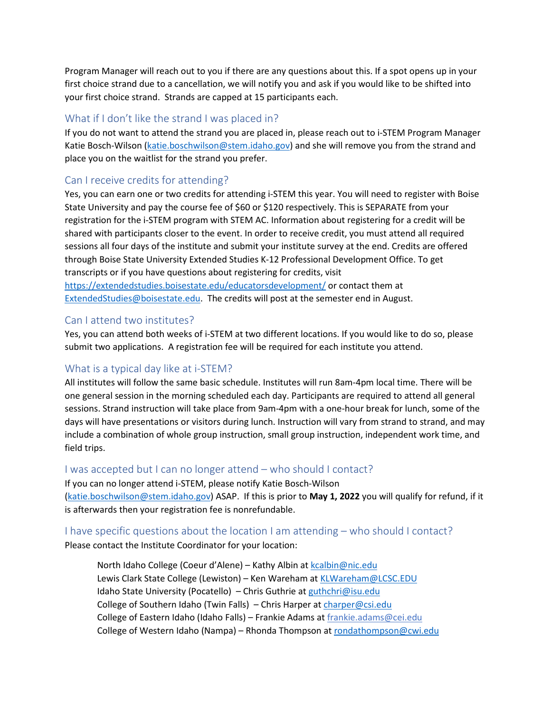Program Manager will reach out to you if there are any questions about this. If a spot opens up in your first choice strand due to a cancellation, we will notify you and ask if you would like to be shifted into your first choice strand. Strands are capped at 15 participants each.

#### What if I don't like the strand I was placed in?

If you do not want to attend the strand you are placed in, please reach out to i-STEM Program Manager Katie Bosch-Wilson [\(katie.boschwilson@stem.idaho.gov\)](mailto:katie.boschwilson@stem.idaho.gov) and she will remove you from the strand and place you on the waitlist for the strand you prefer.

## Can I receive credits for attending?

Yes, you can earn one or two credits for attending i-STEM this year. You will need to register with Boise State University and pay the course fee of \$60 or \$120 respectively. This is SEPARATE from your registration for the i-STEM program with STEM AC. Information about registering for a credit will be shared with participants closer to the event. In order to receive credit, you must attend all required sessions all four days of the institute and submit your institute survey at the end. Credits are offered through Boise State University Extended Studies K-12 Professional Development Office. To get transcripts or if you have questions about registering for credits, visit <https://extendedstudies.boisestate.edu/educatorsdevelopment/> or contact them at [ExtendedStudies@boisestate.edu.](mailto:ExtendedStudies@boisestate.edu) The credits will post at the semester end in August.

#### Can I attend two institutes?

Yes, you can attend both weeks of i-STEM at two different locations. If you would like to do so, please submit two applications. A registration fee will be required for each institute you attend.

## What is a typical day like at i-STEM?

All institutes will follow the same basic schedule. Institutes will run 8am-4pm local time. There will be one general session in the morning scheduled each day. Participants are required to attend all general sessions. Strand instruction will take place from 9am-4pm with a one-hour break for lunch, some of the days will have presentations or visitors during lunch. Instruction will vary from strand to strand, and may include a combination of whole group instruction, small group instruction, independent work time, and field trips.

#### I was accepted but I can no longer attend – who should I contact?

If you can no longer attend i-STEM, please notify Katie Bosch-Wilson [\(katie.boschwilson@stem.idaho.gov\)](mailto:katie.boschwilson@stem.idaho.gov) ASAP. If this is prior to **May 1, 2022** you will qualify for refund, if it is afterwards then your registration fee is nonrefundable.

I have specific questions about the location I am attending – who should I contact? Please contact the Institute Coordinator for your location:

North Idaho College (Coeur d'Alene) – Kathy Albin at [kcalbin@nic.edu](mailto:kcalbin@nic.edu) Lewis Clark State College (Lewiston) - Ken Wareham at [KLWareham@LCSC.EDU](mailto:KLWareham@LCSC.EDU) Idaho State University (Pocatello) – Chris Guthrie at [guthchri@isu.edu](mailto:guthchri@isu.edu) College of Southern Idaho (Twin Falls) – Chris Harper a[t charper@csi.edu](mailto:charper@csi.edu) College of Eastern Idaho (Idaho Falls) – Frankie Adams at frankie.adams@cei.edu College of Western Idaho (Nampa) – Rhonda Thompson at [rondathompson@cwi.edu](mailto:rondathompson@cwi.edu)